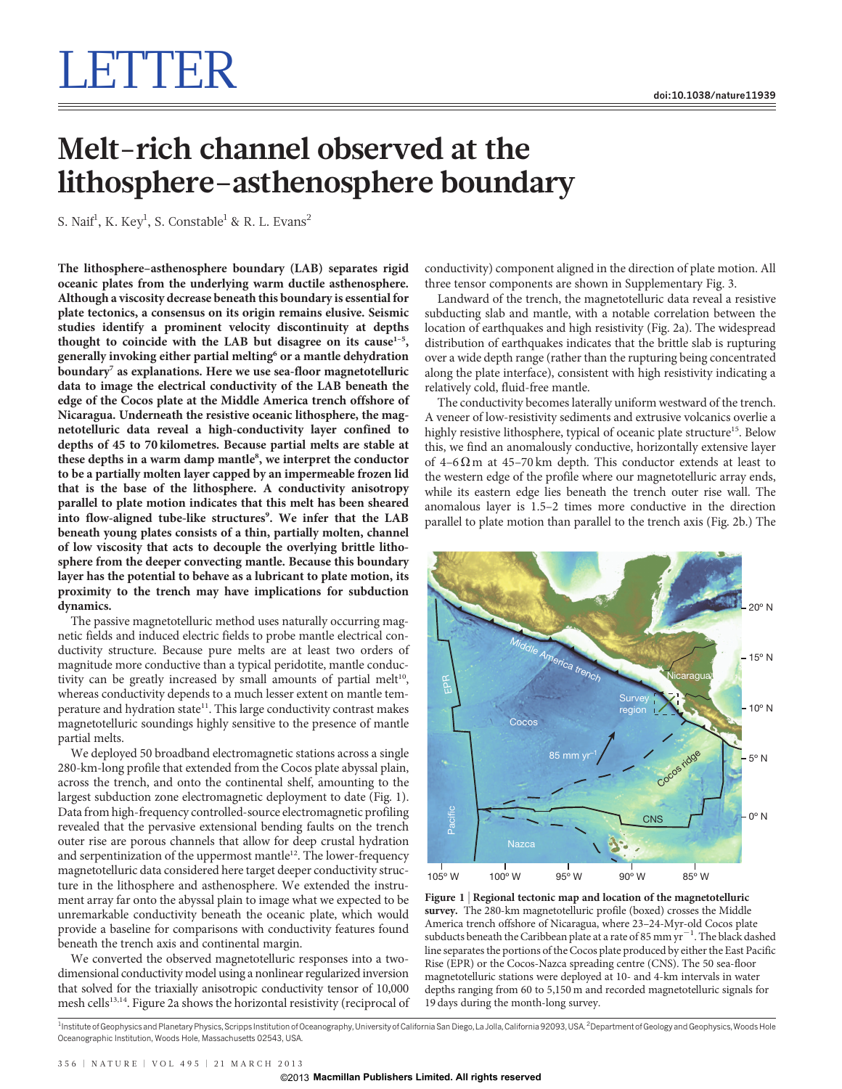## LETTER I

## Melt-rich channel observed at the lithosphere–asthenosphere boundary

S. Naif $^1$ , K. Key $^1$ , S. Constable $^1$  & R. L. Evans $^2$ 

The lithosphere–asthenosphere boundary (LAB) separates rigid oceanic plates from the underlying warm ductile asthenosphere. Although a viscosity decrease beneath this boundary is essential for plate tectonics, a consensus on its origin remains elusive. Seismic studies identify a prominent velocity discontinuity at depths thought to coincide with the LAB but disagree on its cause $1-5$ , generally invoking either partial melting<sup>6</sup> or a mantle dehydration boundary<sup>7</sup> as explanations. Here we use sea-floor magnetotelluric data to image the electrical conductivity of the LAB beneath the edge of the Cocos plate at the Middle America trench offshore of Nicaragua. Underneath the resistive oceanic lithosphere, the magnetotelluric data reveal a high-conductivity layer confined to depths of 45 to 70 kilometres. Because partial melts are stable at these depths in a warm damp mantle<sup>8</sup>, we interpret the conductor to be a partially molten layer capped by an impermeable frozen lid that is the base of the lithosphere. A conductivity anisotropy parallel to plate motion indicates that this melt has been sheared into flow-aligned tube-like structures<sup>9</sup>. We infer that the LAB beneath young plates consists of a thin, partially molten, channel of low viscosity that acts to decouple the overlying brittle lithosphere from the deeper convecting mantle. Because this boundary layer has the potential to behave as a lubricant to plate motion, its proximity to the trench may have implications for subduction dynamics.

The passive magnetotelluric method uses naturally occurring magnetic fields and induced electric fields to probe mantle electrical conductivity structure. Because pure melts are at least two orders of magnitude more conductive than a typical peridotite, mantle conductivity can be greatly increased by small amounts of partial melt<sup>10</sup>, whereas conductivity depends to a much lesser extent on mantle temperature and hydration state<sup>11</sup>. This large conductivity contrast makes magnetotelluric soundings highly sensitive to the presence of mantle partial melts.

We deployed 50 broadband electromagnetic stations across a single 280-km-long profile that extended from the Cocos plate abyssal plain, across the trench, and onto the continental shelf, amounting to the largest subduction zone electromagnetic deployment to date (Fig. 1). Data from high-frequency controlled-source electromagnetic profiling revealed that the pervasive extensional bending faults on the trench outer rise are porous channels that allow for deep crustal hydration and serpentinization of the uppermost mantle<sup>12</sup>. The lower-frequency magnetotelluric data considered here target deeper conductivity structure in the lithosphere and asthenosphere. We extended the instrument array far onto the abyssal plain to image what we expected to be unremarkable conductivity beneath the oceanic plate, which would provide a baseline for comparisons with conductivity features found beneath the trench axis and continental margin.

We converted the observed magnetotelluric responses into a twodimensional conductivity model using a nonlinear regularized inversion that solved for the triaxially anisotropic conductivity tensor of 10,000 mesh cells<sup>13,14</sup>. Figure 2a shows the horizontal resistivity (reciprocal of conductivity) component aligned in the direction of plate motion. All three tensor components are shown in Supplementary Fig. 3.

Landward of the trench, the magnetotelluric data reveal a resistive subducting slab and mantle, with a notable correlation between the location of earthquakes and high resistivity (Fig. 2a). The widespread distribution of earthquakes indicates that the brittle slab is rupturing over a wide depth range (rather than the rupturing being concentrated along the plate interface), consistent with high resistivity indicating a relatively cold, fluid-free mantle.

The conductivity becomes laterally uniform westward of the trench. A veneer of low-resistivity sediments and extrusive volcanics overlie a highly resistive lithosphere, typical of oceanic plate structure<sup>15</sup>. Below this, we find an anomalously conductive, horizontally extensive layer of 4–6 $\Omega$ m at 45–70 km depth. This conductor extends at least to the western edge of the profile where our magnetotelluric array ends, while its eastern edge lies beneath the trench outer rise wall. The anomalous layer is 1.5–2 times more conductive in the direction parallel to plate motion than parallel to the trench axis (Fig. 2b.) The



Figure 1 | Regional tectonic map and location of the magnetotelluric survey. The 280-km magnetotelluric profile (boxed) crosses the Middle America trench offshore of Nicaragua, where 23–24-Myr-old Cocos plate subducts beneath the Caribbean plate at a rate of 85 mm  $yr^{-1}$ . The black dashed line separates the portions of the Cocos plate produced by either the East Pacific Rise (EPR) or the Cocos-Nazca spreading centre (CNS). The 50 sea-floor magnetotelluric stations were deployed at 10- and 4-km intervals in water depths ranging from 60 to 5,150 m and recorded magnetotelluric signals for 19 days during the month-long survey.

<sup>&</sup>lt;sup>1</sup>Institute of Geophysics and Planetary Physics, Scripps Institution of Oceanography, University of California San Diego, La Jolla, California 92093, USA. <sup>2</sup>Department of Geology and Geophysics, Woods Hole Oceanographic Institution, Woods Hole, Massachusetts 02543, USA.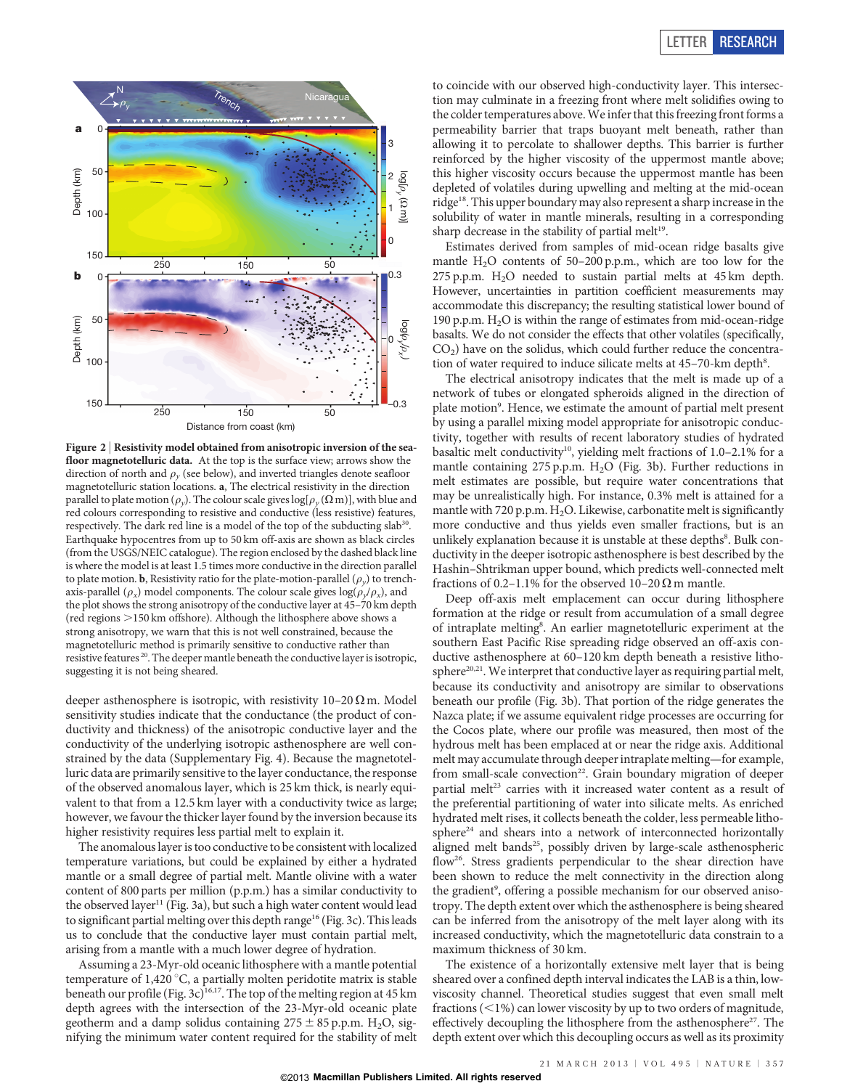

Figure 2 | Resistivity model obtained from anisotropic inversion of the seafloor magnetotelluric data. At the top is the surface view; arrows show the direction of north and  $\rho_{\nu}$  (see below), and inverted triangles denote seafloor magnetotelluric station locations. a, The electrical resistivity in the direction parallel to plate motion ( $\rho_y$ ). The colour scale gives log[ $\rho_y$  ( $\Omega$  m)], with blue and red colours corresponding to resistive and conductive (less resistive) features, respectively. The dark red line is a model of the top of the subducting slab<sup>30</sup>. Earthquake hypocentres from up to 50 km off-axis are shown as black circles (from the USGS/NEIC catalogue). The region enclosed by the dashed black line is where the model is at least 1.5 times more conductive in the direction parallel to plate motion. **b**, Resistivity ratio for the plate-motion-parallel  $(\rho_v)$  to trenchaxis-parallel ( $\rho_x$ ) model components. The colour scale gives  $\log(\rho_y/\rho_x)$ , and the plot shows the strong anisotropy of the conductive layer at 45–70 km depth (red regions  $>$ 150 km offshore). Although the lithosphere above shows a strong anisotropy, we warn that this is not well constrained, because the magnetotelluric method is primarily sensitive to conductive rather than resistive features  $^{\rm 20}.$  The deeper mantle beneath the conductive layer is isotropic, suggesting it is not being sheared.

deeper asthenosphere is isotropic, with resistivity  $10-20 \Omega$  m. Model sensitivity studies indicate that the conductance (the product of conductivity and thickness) of the anisotropic conductive layer and the conductivity of the underlying isotropic asthenosphere are well constrained by the data (Supplementary Fig. 4). Because the magnetotelluric data are primarily sensitive to the layer conductance, the response of the observed anomalous layer, which is 25 km thick, is nearly equivalent to that from a 12.5 km layer with a conductivity twice as large; however, we favour the thicker layer found by the inversion because its higher resistivity requires less partial melt to explain it.

The anomalous layer is too conductive to be consistent with localized temperature variations, but could be explained by either a hydrated mantle or a small degree of partial melt. Mantle olivine with a water content of 800 parts per million (p.p.m.) has a similar conductivity to the observed layer<sup>11</sup> (Fig. 3a), but such a high water content would lead to significant partial melting over this depth range<sup>16</sup> (Fig. 3c). This leads us to conclude that the conductive layer must contain partial melt, arising from a mantle with a much lower degree of hydration.

Assuming a 23-Myr-old oceanic lithosphere with a mantle potential temperature of 1,420  $\degree$ C, a partially molten peridotite matrix is stable beneath our profile (Fig. 3c)<sup>16,17</sup>. The top of the melting region at 45 km depth agrees with the intersection of the 23-Myr-old oceanic plate geotherm and a damp solidus containing  $275 \pm 85$  p.p.m. H<sub>2</sub>O, signifying the minimum water content required for the stability of melt

to coincide with our observed high-conductivity layer. This intersection may culminate in a freezing front where melt solidifies owing to the colder temperatures above.We infer that this freezing front forms a permeability barrier that traps buoyant melt beneath, rather than allowing it to percolate to shallower depths. This barrier is further reinforced by the higher viscosity of the uppermost mantle above; this higher viscosity occurs because the uppermost mantle has been depleted of volatiles during upwelling and melting at the mid-ocean ridge18. This upper boundary may also represent a sharp increase in the solubility of water in mantle minerals, resulting in a corresponding sharp decrease in the stability of partial melt $19$ .

Estimates derived from samples of mid-ocean ridge basalts give mantle  $H_2O$  contents of 50–200 p.p.m., which are too low for the 275 p.p.m.  $H_2O$  needed to sustain partial melts at 45 km depth. However, uncertainties in partition coefficient measurements may accommodate this discrepancy; the resulting statistical lower bound of 190 p.p.m.  $H_2O$  is within the range of estimates from mid-ocean-ridge basalts. We do not consider the effects that other volatiles (specifically,  $CO<sub>2</sub>$ ) have on the solidus, which could further reduce the concentration of water required to induce silicate melts at 45-70-km depth<sup>8</sup>.

The electrical anisotropy indicates that the melt is made up of a network of tubes or elongated spheroids aligned in the direction of plate motion<sup>9</sup>. Hence, we estimate the amount of partial melt present by using a parallel mixing model appropriate for anisotropic conductivity, together with results of recent laboratory studies of hydrated basaltic melt conductivity<sup>10</sup>, yielding melt fractions of  $1.0-2.1\%$  for a mantle containing 275 p.p.m.  $H_2O$  (Fig. 3b). Further reductions in melt estimates are possible, but require water concentrations that may be unrealistically high. For instance, 0.3% melt is attained for a mantle with 720 p.p.m.  $H_2O$ . Likewise, carbonatite melt is significantly more conductive and thus yields even smaller fractions, but is an unlikely explanation because it is unstable at these depths<sup>8</sup>. Bulk conductivity in the deeper isotropic asthenosphere is best described by the Hashin–Shtrikman upper bound, which predicts well-connected melt fractions of 0.2–1.1% for the observed 10–20  $\Omega$  m mantle.

Deep off-axis melt emplacement can occur during lithosphere formation at the ridge or result from accumulation of a small degree of intraplate melting<sup>8</sup>. An earlier magnetotelluric experiment at the southern East Pacific Rise spreading ridge observed an off-axis conductive asthenosphere at 60–120 km depth beneath a resistive lithosphere<sup>20,21</sup>. We interpret that conductive layer as requiring partial melt, because its conductivity and anisotropy are similar to observations beneath our profile (Fig. 3b). That portion of the ridge generates the Nazca plate; if we assume equivalent ridge processes are occurring for the Cocos plate, where our profile was measured, then most of the hydrous melt has been emplaced at or near the ridge axis. Additional melt may accumulate through deeper intraplate melting—for example, from small-scale convection<sup>22</sup>. Grain boundary migration of deeper partial melt<sup>23</sup> carries with it increased water content as a result of the preferential partitioning of water into silicate melts. As enriched hydrated melt rises, it collects beneath the colder, less permeable litho $sphere<sup>24</sup>$  and shears into a network of interconnected horizontally aligned melt bands<sup>25</sup>, possibly driven by large-scale asthenospheric flow<sup>26</sup>. Stress gradients perpendicular to the shear direction have been shown to reduce the melt connectivity in the direction along the gradient<sup>9</sup>, offering a possible mechanism for our observed anisotropy. The depth extent over which the asthenosphere is being sheared can be inferred from the anisotropy of the melt layer along with its increased conductivity, which the magnetotelluric data constrain to a maximum thickness of 30 km.

The existence of a horizontally extensive melt layer that is being sheared over a confined depth interval indicates the LAB is a thin, lowviscosity channel. Theoretical studies suggest that even small melt fractions  $(<1%)$  can lower viscosity by up to two orders of magnitude, effectively decoupling the lithosphere from the asthenosphere<sup>27</sup>. The depth extent over which this decoupling occurs as well as its proximity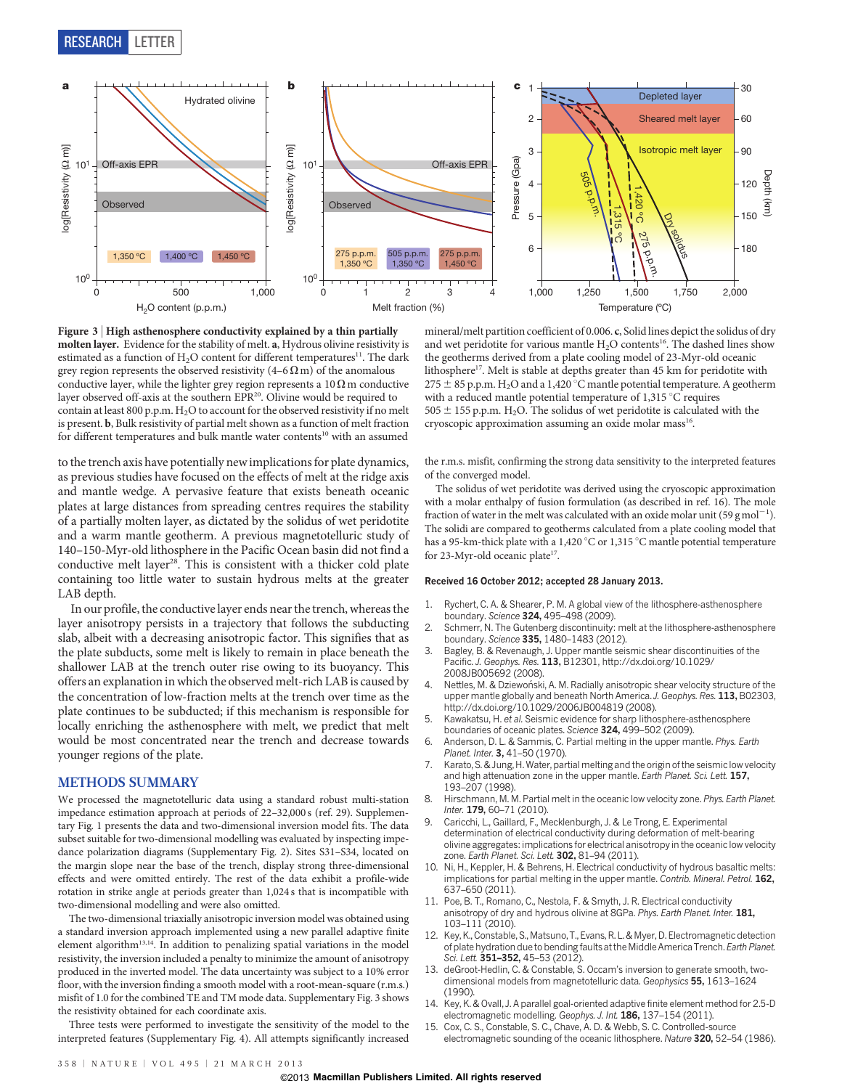RESEARCH LETTER



Figure 3 <sup>|</sup> High asthenosphere conductivity explained by a thin partially molten layer. Evidence for the stability of melt. a, Hydrous olivine resistivity is estimated as a function of  $H_2O$  content for different temperatures<sup>11</sup>. The dark grey region represents the observed resistivity  $(4-6 \Omega \text{ m})$  of the anomalous conductive layer, while the lighter grey region represents a  $10 \Omega$  m conductive layer observed off-axis at the southern EPR<sup>20</sup>. Olivine would be required to contain at least 800 p.p.m.  $H_2O$  to account for the observed resistivity if no melt is present. b, Bulk resistivity of partial melt shown as a function of melt fraction for different temperatures and bulk mantle water contents<sup>10</sup> with an assumed

to the trench axis have potentially new implications for plate dynamics, as previous studies have focused on the effects of melt at the ridge axis and mantle wedge. A pervasive feature that exists beneath oceanic plates at large distances from spreading centres requires the stability of a partially molten layer, as dictated by the solidus of wet peridotite and a warm mantle geotherm. A previous magnetotelluric study of 140–150-Myr-old lithosphere in the Pacific Ocean basin did not find a conductive melt layer<sup>28</sup>. This is consistent with a thicker cold plate containing too little water to sustain hydrous melts at the greater LAB depth.

In our profile, the conductive layer ends near the trench, whereas the layer anisotropy persists in a trajectory that follows the subducting slab, albeit with a decreasing anisotropic factor. This signifies that as the plate subducts, some melt is likely to remain in place beneath the shallower LAB at the trench outer rise owing to its buoyancy. This offers an explanation in which the observed melt-rich LAB is caused by the concentration of low-fraction melts at the trench over time as the plate continues to be subducted; if this mechanism is responsible for locally enriching the asthenosphere with melt, we predict that melt would be most concentrated near the trench and decrease towards younger regions of the plate.

## METHODS SUMMARY

We processed the magnetotelluric data using a standard robust multi-station impedance estimation approach at periods of 22–32,000 s (ref. 29). Supplementary Fig. 1 presents the data and two-dimensional inversion model fits. The data subset suitable for two-dimensional modelling was evaluated by inspecting impedance polarization diagrams (Supplementary Fig. 2). Sites S31–S34, located on the margin slope near the base of the trench, display strong three-dimensional effects and were omitted entirely. The rest of the data exhibit a profile-wide rotation in strike angle at periods greater than 1,024 s that is incompatible with two-dimensional modelling and were also omitted.

The two-dimensional triaxially anisotropic inversion model was obtained using a standard inversion approach implemented using a new parallel adaptive finite element algorithm<sup>13,14</sup>. In addition to penalizing spatial variations in the model resistivity, the inversion included a penalty to minimize the amount of anisotropy produced in the inverted model. The data uncertainty was subject to a 10% error floor, with the inversion finding a smooth model with a root-mean-square (r.m.s.) misfit of 1.0 for the combined TE and TM mode data. Supplementary Fig. 3 shows the resistivity obtained for each coordinate axis.

Three tests were performed to investigate the sensitivity of the model to the interpreted features (Supplementary Fig. 4). All attempts significantly increased

mineral/melt partition coefficient of 0.006. c, Solid lines depict the solidus of dry and wet peridotite for various mantle  $H_2O$  contents<sup>16</sup>. The dashed lines show the geotherms derived from a plate cooling model of 23-Myr-old oceanic lithosphere<sup>17</sup>. Melt is stable at depths greater than 45 km for peridotite with 275  $\pm$  85 p.p.m. H<sub>2</sub>O and a 1,420 °C mantle potential temperature. A geotherm with a reduced mantle potential temperature of  $1,315\textdegree C$  requires 505  $\pm$  155 p.p.m. H<sub>2</sub>O. The solidus of wet peridotite is calculated with the cryoscopic approximation assuming an oxide molar mass<sup>16</sup>.

the r.m.s. misfit, confirming the strong data sensitivity to the interpreted features of the converged model.

The solidus of wet peridotite was derived using the cryoscopic approximation with a molar enthalpy of fusion formulation (as described in ref. 16). The mole fraction of water in the melt was calculated with an oxide molar unit (59 g mol<sup>-1</sup>). The solidi are compared to geotherms calculated from a plate cooling model that has a 95-km-thick plate with a 1,420  $^{\circ}\mathrm{C}$  or 1,315  $^{\circ}\mathrm{C}$  mantle potential temperature for 23-Myr-old oceanic plate<sup>17</sup>.

## Received 16 October 2012; accepted 28 January 2013.

- 1. Rychert, C. A. & Shearer, P. M. A global view of the lithosphere-asthenosphere boundary. Science 324, 495–498 (2009).
- 2. Schmerr, N. The Gutenberg discontinuity: melt at the lithosphere-asthenosphere boundary. Science 335, 1480–1483 (2012).
- 3. Bagley, B. & Revenaugh, J. Upper mantle seismic shear discontinuities of the Pacific. J. Geophys. Res. 113, B12301, http://dx.doi.org/10.1029/ 2008JB005692 (2008).
- 4. Nettles, M. & Dziewoński, A. M. Radially anisotropic shear velocity structure of the upper mantle globally and beneath North America. J. Geophys. Res. 113, B02303, http://dx.doi.org/10.1029/2006JB004819 (2008).
- 5. Kawakatsu, H. et al. Seismic evidence for sharp lithosphere-asthenosphere boundaries of oceanic plates. Science 324, 499–502 (2009).
- 6. Anderson, D. L. & Sammis, C. Partial melting in the upper mantle. Phys. Earth Planet. Inter. 3, 41-50 (1970).
- 7. Karato, S. & Jung, H. Water, partial melting and the origin of the seismic low velocity and high attenuation zone in the upper mantle. Earth Planet. Sci. Lett. 157, 193–207 (1998).
- 8. Hirschmann, M. M. Partial melt in the oceanic low velocity zone. Phys. Earth Planet. Inter. 179, 60-71 (2010).
- 9. Caricchi, L., Gaillard, F., Mecklenburgh, J. & Le Trong, E. Experimental determination of electrical conductivity during deformation of melt-bearing olivine aggregates: implications for electrical anisotropy in the oceanic low velocity zone. Earth Planet. Sci. Lett. 302, 81-94 (2011).
- 10. Ni, H., Keppler, H. & Behrens, H. Electrical conductivity of hydrous basaltic melts: implications for partial melting in the upper mantle. Contrib. Mineral. Petrol. 162, 637–650 (2011).
- 11. Poe, B. T., Romano, C., Nestola, F. & Smyth, J. R. Electrical conductivity anisotropy of dry and hydrous olivine at 8GPa. Phys. Earth Planet. Inter. 181, 103–111 (2010).
- 12. Key, K., Constable, S., Matsuno, T., Evans, R. L. & Myer, D. Electromagnetic detection of plate hydration due to bending faults at the Middle America Trench. Earth Planet. Sci. Lett. 351-352, 45-53 (2012).
- 13. deGroot-Hedlin, C. & Constable, S. Occam's inversion to generate smooth, twodimensional models from magnetotelluric data. Geophysics 55, 1613–1624 (1990).
- 14. Key, K. & Ovall, J. A parallel goal-oriented adaptive finite element method for 2.5-D electromagnetic modelling. Geophys. J. Int. 186, 137-154 (2011).
- 15. Cox, C. S., Constable, S. C., Chave, A. D. & Webb, S. C. Controlled-source electromagnetic sounding of the oceanic lithosphere. Nature 320, 52-54 (1986).